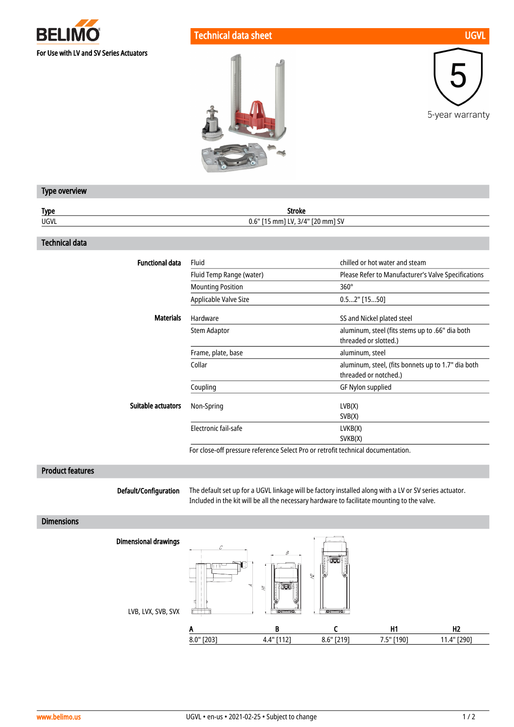

## Technical data sheet UGVL and the UGVL and the UGVL and the UGVL





## Type overview

| <b>Type</b> | Stroke                                |
|-------------|---------------------------------------|
| UGVL        | 3/4" [20 mm] SV<br>$0.6"$ [15 mm] LV, |

## Technical data

| Fluid                    | chilled or hot water and steam                                              |
|--------------------------|-----------------------------------------------------------------------------|
| Fluid Temp Range (water) | Please Refer to Manufacturer's Valve Specifications                         |
| <b>Mounting Position</b> | $360^\circ$                                                                 |
| Applicable Valve Size    | $0.52"$ [1550]                                                              |
| Hardware                 | SS and Nickel plated steel                                                  |
| <b>Stem Adaptor</b>      | aluminum, steel (fits stems up to .66" dia both<br>threaded or slotted.)    |
| Frame, plate, base       | aluminum, steel                                                             |
| Collar                   | aluminum, steel, (fits bonnets up to 1.7" dia both<br>threaded or notched.) |
| Coupling                 | GF Nylon supplied                                                           |
| Non-Spring               | LVB(X)<br>SVB(X)                                                            |
| Electronic fail-safe     | LVKB(X)<br>SVKB(X)                                                          |
|                          |                                                                             |

For close-off pressure reference Select Pro or retrofit technical documentation.

## Product features

Default/Configuration

The default set up for a UGVL linkage will be factory installed along with a LV or SV series actuator. Included in the kit will be all the necessary hardware to facilitate mounting to the valve.

### **Dimensions**

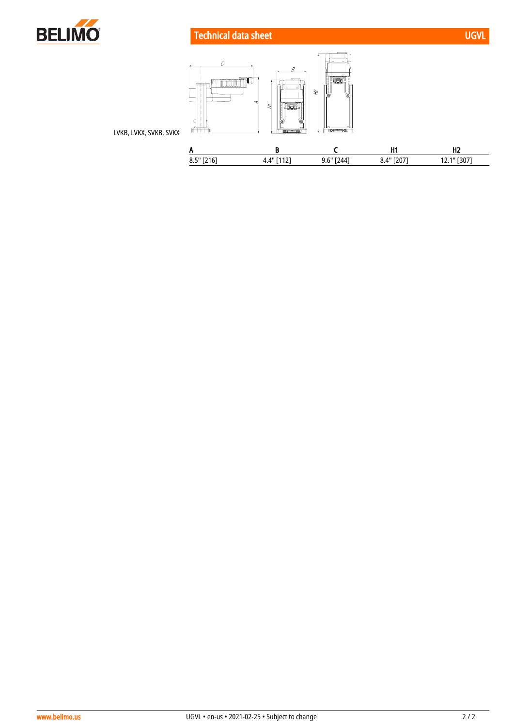

Technical data sheet UGVL and the UGVL and the UGVL and the UGVL



LVKB, LVKX, SVKB, SVKX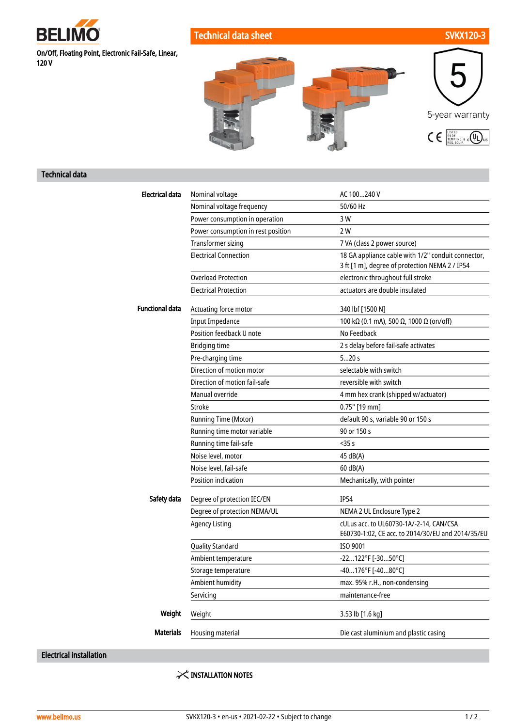

Technical data sheet SVKX120-3

On/Off, Floating Point, Electronic Fail-Safe, Linear, 120 V

5-year warranty  $\textstyle \bigin \mathsf{E} \Big[ \begin{smallmatrix} \text{LISTED} \ \text{B4 DB} \ \text{FEMP, IND. & 0} \ \text{DUS} \ \text{REC, EQUIP.} \end{smallmatrix} \Big] \text{US}$ 

## Technical data

| <b>Electrical data</b> | Nominal voltage                    | AC 100240 V                                        |
|------------------------|------------------------------------|----------------------------------------------------|
|                        | Nominal voltage frequency          | 50/60 Hz                                           |
|                        | Power consumption in operation     | 3 W                                                |
|                        | Power consumption in rest position | 2 W                                                |
|                        | <b>Transformer sizing</b>          | 7 VA (class 2 power source)                        |
|                        | <b>Electrical Connection</b>       | 18 GA appliance cable with 1/2" conduit connector, |
|                        |                                    | 3 ft [1 m], degree of protection NEMA 2 / IP54     |
|                        | <b>Overload Protection</b>         | electronic throughout full stroke                  |
|                        | <b>Electrical Protection</b>       | actuators are double insulated                     |
| <b>Functional data</b> | Actuating force motor              | 340 lbf [1500 N]                                   |
|                        | <b>Input Impedance</b>             | 100 kΩ (0.1 mA), 500 Ω, 1000 Ω (on/off)            |
|                        | Position feedback U note           | No Feedback                                        |
|                        | <b>Bridging time</b>               | 2 s delay before fail-safe activates               |
|                        | Pre-charging time                  | 520s                                               |
|                        | Direction of motion motor          | selectable with switch                             |
|                        | Direction of motion fail-safe      | reversible with switch                             |
|                        | Manual override                    | 4 mm hex crank (shipped w/actuator)                |
|                        | Stroke                             | $0.75"$ [19 mm]                                    |
|                        | Running Time (Motor)               | default 90 s, variable 90 or 150 s                 |
|                        | Running time motor variable        | 90 or 150 s                                        |
|                        | Running time fail-safe             | $<$ 35s                                            |
|                        | Noise level, motor                 | 45 dB(A)                                           |
|                        | Noise level, fail-safe             | 60 dB(A)                                           |
|                        | <b>Position indication</b>         | Mechanically, with pointer                         |
| Safety data            | Degree of protection IEC/EN        | IP54                                               |
|                        | Degree of protection NEMA/UL       | NEMA 2 UL Enclosure Type 2                         |
|                        | <b>Agency Listing</b>              | cULus acc. to UL60730-1A/-2-14, CAN/CSA            |
|                        |                                    | E60730-1:02, CE acc. to 2014/30/EU and 2014/35/EU  |
|                        | <b>Quality Standard</b>            | ISO 9001                                           |
|                        | Ambient temperature                | -22122°F [-3050°C]                                 |
|                        | Storage temperature                | -40176°F [-4080°C]                                 |
|                        | Ambient humidity                   | max. 95% r.H., non-condensing                      |
|                        | Servicing                          | maintenance-free                                   |
| Weight                 | Weight                             | 3.53 lb [1.6 kg]                                   |
| <b>Materials</b>       | Housing material                   | Die cast aluminium and plastic casing              |
|                        |                                    |                                                    |

Electrical installation

 $\times$  INSTALLATION NOTES